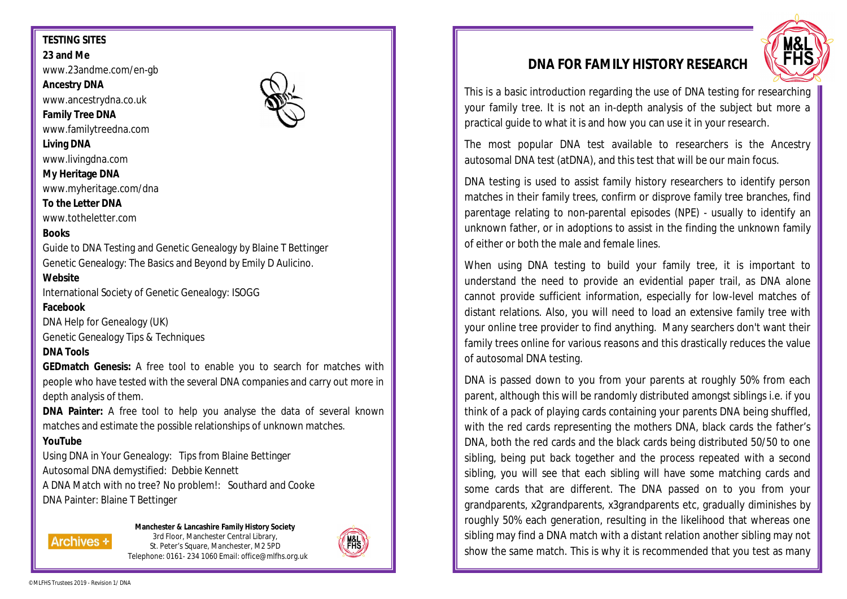# **TESTING SITES**

**23 and Me**

www.23andme.com/en-gb

**Ancestry DNA**

www.ancestrydna.co.uk

**Family Tree DNA**

www.familytreedna.com

**Living DNA**

www.livingdna.com

**My Heritage DNA**

www.myheritage.com/dna

#### **To the Letter DNA**

www.totheletter.com

# **Books**

Guide to DNA Testing and Genetic Genealogy by Blaine T Bettinger Genetic Genealogy: The Basics and Beyond by Emily D Aulicino.

### **Website**

International Society of Genetic Genealogy: ISOGG

# **Facebook**

DNA Help for Genealogy (UK) Genetic Genealogy Tips & Techniques

#### **DNA Tools**

**GEDmatch Genesis:** A free tool to enable you to search for matches with people who have tested with the several DNA companies and carry out more in depth analysis of them.

**DNA Painter:** A free tool to help you analyse the data of several known matches and estimate the possible relationships of unknown matches.

# **YouTube**

Using DNA in Your Genealogy: Tips from Blaine Bettinger Autosomal DNA demystified: Debbie Kennett A DNA Match with no tree? No problem!: Southard and Cooke DNA Painter: Blaine T Bettinger

#### **Manchester & Lancashire Family History Society**

3rd Floor, Manchester Central Library, St. Peter's Square, Manchester, M2 5PD Telephone: 0161- 234 1060 Email: office@mlfhs.org.uk



# **DNA FOR FAMILY HISTORY RESEARCH**



This is a basic introduction regarding the use of DNA testing for researching your family tree. It is not an in-depth analysis of the subject but more a practical guide to what it is and how you can use it in your research.

The most popular DNA test available to researchers is the Ancestry autosomal DNA test (atDNA), and this test that will be our main focus.

DNA testing is used to assist family history researchers to identify person matches in their family trees, confirm or disprove family tree branches, find parentage relating to non-parental episodes (NPE) - usually to identify an unknown father, or in adoptions to assist in the finding the unknown family of either or both the male and female lines.

When using DNA testing to build your family tree, it is important to understand the need to provide an evidential paper trail, as DNA alone cannot provide sufficient information, especially for low-level matches of distant relations. Also, you will need to load an extensive family tree with your online tree provider to find anything. Many searchers don't want their family trees online for various reasons and this drastically reduces the value of autosomal DNA testing.

DNA is passed down to you from your parents at roughly 50% from each parent, although this will be randomly distributed amongst siblings i.e. if you think of a pack of playing cards containing your parents DNA being shuffled, with the red cards representing the mothers DNA, black cards the father's DNA, both the red cards and the black cards being distributed 50/50 to one sibling, being put back together and the process repeated with a second sibling, you will see that each sibling will have some matching cards and some cards that are different. The DNA passed on to you from your grandparents, x2grandparents, x3grandparents etc, gradually diminishes by roughly 50% each generation, resulting in the likelihood that whereas one sibling may find a DNA match with a distant relation another sibling may not show the same match. This is why it is recommended that you test as many

**Archives +**